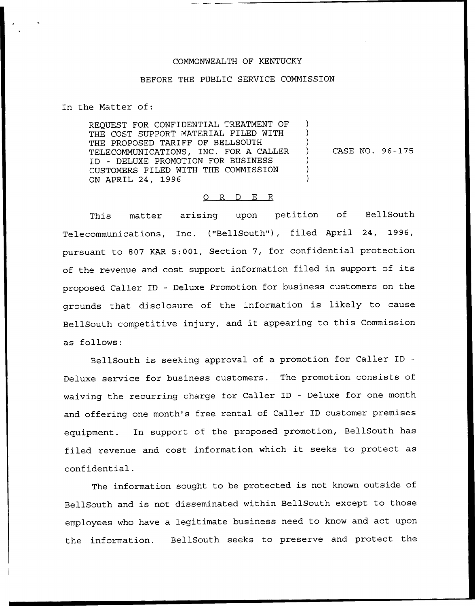## COMMONWEALTH OF KENTUCKY

## BEFORE THE PUBLIC SERVICE COMMISSION

In the Matter of:

REQUEST FOR CONFIDENTIAL TREATMENT OF THE COST SUPPORT MATERIAL FILED WITH THE PROPOSED TARIFF OF BELLSOUTH TELECOMMUNICATIONS, INC. FOR A CALLER ID — DELUXE PROMOTION FOR BUSINESS CUSTOMERS FILED WITH THE COMMISSION ON APRIL 24, 1996

CASE NO. 96-175

 $\mathcal{L}$ 

## O R D E R

This matter arising upon petition of BellSouth Telecommunications, Inc. ("BellSouth"), filed April 24, 1996, pursuant to 807 KAR 5:001, Section 7, for confidential protection of the revenue and cost support information filed in support of its proposed Caller ID — Deluxe Promotion for business customers on the grounds that disclosure of the information is likely to cause BellSouth competitive injury, and it appearing to this Commission as follows:

BellSouth is seeking approval of a promotion for Caller ID Deluxe service for business customers. The promotion consists of waiving the recurring charge for Caller ID — Deluxe for one month and offering one month's free rental of Caller ID customer premises equipment. In support of the proposed promotion, BellSouth has filed revenue and cost information which it seeks to protect as confidential.

The information sought to be protected is not known outside of BellSouth and is not disseminated within BellSouth except to those employees who have a legitimate business need to know and act upon the information. BellSouth seeks to preserve and protect the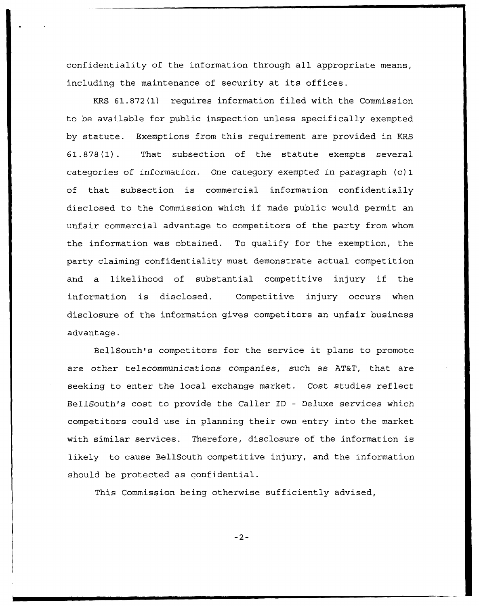confidentiality of the information through all appropriate means, including the maintenance of security at its offices.

KRS 61.872(1) requires information filed with the Commission to be available for public inspection unless specifically exempted by statute. Exemptions from this requirement are provided in KRS 61.878(1). That subsection of the statute exempts several categories of information. One category exempted in paragraph (c) 1 of that subsection is commercial information confidentially disclosed to the Commission which if made public would permit an unfair commercial advantage to competitors of the party from whom the information was obtained. To qualify for the exemption, the party claiming confidentiality must demonstrate actual competition and a likelihood of substantial competitive injury if the information is disclosed. Competitive injury occurs when disclosure of the information gives competitors an unfair business advantage.

BellSouth's competitors for the service it plans to promote are other telecommunications companies, such as AT&T, that are seeking to enter the local exchange market. Cost studies reflect BellSouth's cost to provide the Caller ID — Deluxe services which competitors could use in planning their own entry into the market with similar services, Therefore, disclosure of the information is likely to cause BellSouth competitive injury, and the information should be protected as confidential.

This Commission being otherwise sufficiently advised,

 $-2-$